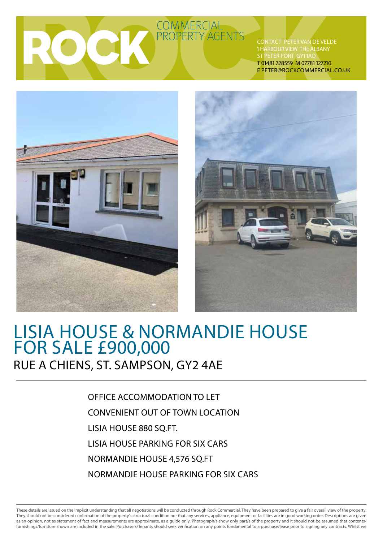COMMERCIAL

Contact Peter van de Velde 1 HARBOUR VIEW THE ALBANY ST PETER PORT GY11AC T 01481 728559 M 07781 127210 E peter@rockcommercial.co.uk





## Lisia house & normandie house For sale £900,000 Rue A Chiens, St. Sampson, gY2 4AE

office accommodation to let convenient out of town location LISIA HOUSE 880 SO.FT. Lisia House parking for six cars Normandie house 4,576 SQ.FT Normandie house Parking for six cars

These details are issued on the implicit understanding that all negotiations will be conducted through Rock Commercial. They have been prepared to give a fair overall view of the property. They should not be considered confirmation of the property's structural condition nor that any services, appliance, equipment or facilities are in good working order. Descriptions are given as an opinion, not as statement of fact and measurements are approximate, as a guide only. Photograph/s show only part/s of the property and it should not be assumed that contents/ furnishings/furniture shown are included in the sale. Purchasers/Tenants should seek verification on any points fundamental to a purchase/lease prior to signing any contracts. Whilst we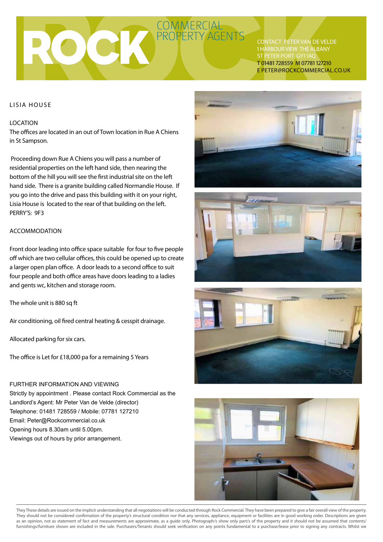Contact Peter van de Velde 1 HARBOUR VIEW THE ALBANY ST PETER PORT GY11AC T 01481 728559 M 07781 127210 E peter@rockcommercial.co.uk

### Lisia House

### **LOCATION**

The offices are located in an out of Town location in Rue A Chiens in St Sampson.

 Proceeding down Rue A Chiens you will pass a number of residential properties on the left hand side, then nearing the bottom of the hill you will see the first industrial site on the left hand side. There is a granite building called Normandie House. If you go into the drive and pass this building with it on your right, Lisia House is located to the rear of that building on the left. PERRY'S: 9F3

### accommodation

Front door leading into office space suitable for four to five people off which are two cellular offices, this could be opened up to create a larger open plan office. A door leads to a second office to suit four people and both office areas have doors leading to a ladies and gents wc, kitchen and storage room.

The whole unit is 880 sq ft

Air conditioning, oil fired central heating & cesspit drainage.

Allocated parking for six cars.

The office is Let for £18,000 pa for a remaining 5 Years

FURTHER INFORMATION AND VIEWING Strictly by appointment . Please contact Rock Commercial as the Landlord's Agent: Mr Peter Van de Velde (director) Telephone: 01481 728559 / Mobile: 07781 127210 Email: Peter@Rockcommercial.co.uk Opening hours 8.30am until 5.00pm. Viewings out of hours by prior arrangement.









They These details are issued on the implicit understanding that all negotiations will be conducted through Rock Commercial. They have been prepared to give a fair overall view of the property. They should not be considered confirmation of the property's structural condition nor that any services, appliance, equipment or facilities are in good working order. Descriptions are given as an opinion, not as statement of fact and measurements are approximate, as a guide only. Photograph/s show only part/s of the property and it should not be assumed that contents/ furnishings/furniture shown are included in the sale. Purchasers/Tenants should seek verification on any points fundamental to a purchase/lease prior to signing any contracts. Whilst we